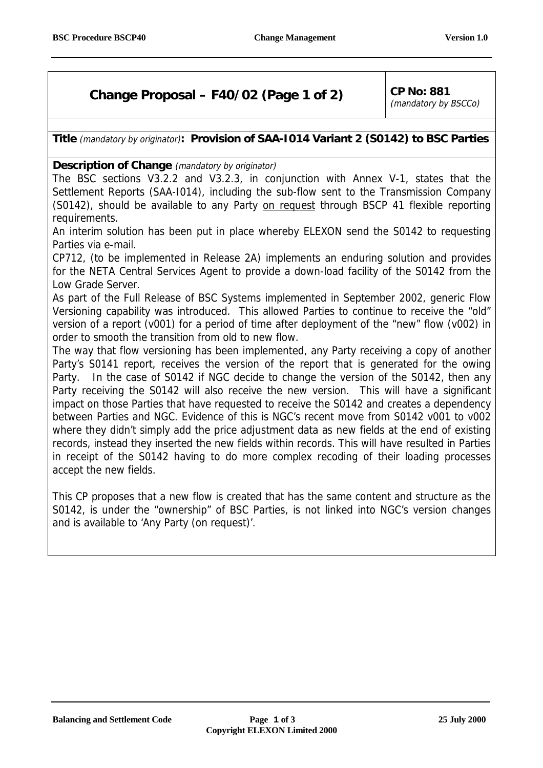# **Change Proposal – F40/02 (Page 1 of 2)**  $\vert$  CP No: 881

(mandatory by BSCCo)

## **Title** (mandatory by originator)**: Provision of SAA-I014 Variant 2 (S0142) to BSC Parties**

**Description of Change** (mandatory by originator)

The BSC sections V3.2.2 and V3.2.3, in conjunction with Annex V-1, states that the Settlement Reports (SAA-I014), including the sub-flow sent to the Transmission Company (S0142), should be available to any Party on request through BSCP 41 flexible reporting requirements.

An interim solution has been put in place whereby ELEXON send the S0142 to requesting Parties via e-mail.

CP712, (to be implemented in Release 2A) implements an enduring solution and provides for the NETA Central Services Agent to provide a down-load facility of the S0142 from the Low Grade Server.

As part of the Full Release of BSC Systems implemented in September 2002, generic Flow Versioning capability was introduced. This allowed Parties to continue to receive the "old" version of a report (v001) for a period of time after deployment of the "new" flow (v002) in order to smooth the transition from old to new flow.

The way that flow versioning has been implemented, any Party receiving a copy of another Party's S0141 report, receives the version of the report that is generated for the owing Party. In the case of S0142 if NGC decide to change the version of the S0142, then any Party receiving the S0142 will also receive the new version. This will have a significant impact on those Parties that have requested to receive the S0142 and creates a dependency between Parties and NGC. Evidence of this is NGC's recent move from S0142 v001 to v002 where they didn't simply add the price adjustment data as new fields at the end of existing records, instead they inserted the new fields within records. This will have resulted in Parties in receipt of the S0142 having to do more complex recoding of their loading processes accept the new fields.

This CP proposes that a new flow is created that has the same content and structure as the S0142, is under the "ownership" of BSC Parties, is not linked into NGC's version changes and is available to 'Any Party (on request)'.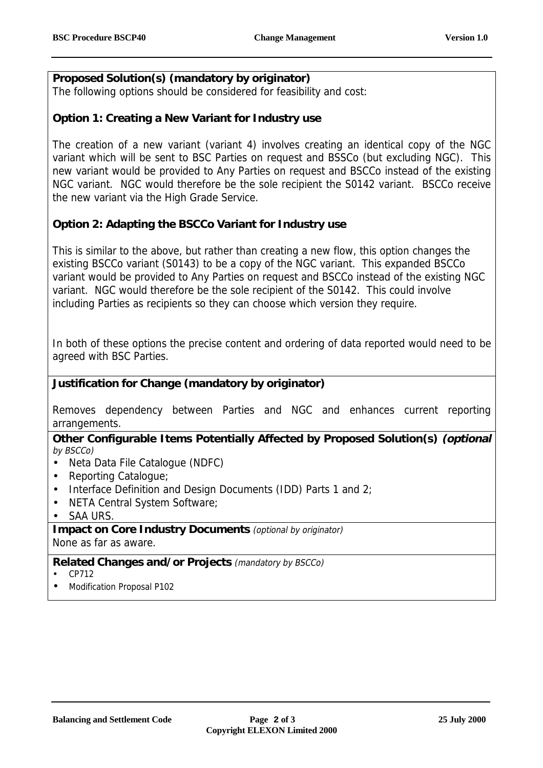## **Proposed Solution(s) (mandatory by originator)**

The following options should be considered for feasibility and cost:

### **Option 1: Creating a New Variant for Industry use**

The creation of a new variant (variant 4) involves creating an identical copy of the NGC variant which will be sent to BSC Parties on request and BSSCo (but excluding NGC). This new variant would be provided to Any Parties on request and BSCCo instead of the existing NGC variant. NGC would therefore be the sole recipient the S0142 variant. BSCCo receive the new variant via the High Grade Service.

## **Option 2: Adapting the BSCCo Variant for Industry use**

This is similar to the above, but rather than creating a new flow, this option changes the existing BSCCo variant (S0143) to be a copy of the NGC variant. This expanded BSCCo variant would be provided to Any Parties on request and BSCCo instead of the existing NGC variant. NGC would therefore be the sole recipient of the S0142. This could involve including Parties as recipients so they can choose which version they require.

In both of these options the precise content and ordering of data reported would need to be agreed with BSC Parties.

#### **Justification for Change (mandatory by originator)**

Removes dependency between Parties and NGC and enhances current reporting arrangements.

#### **Other Configurable Items Potentially Affected by Proposed Solution(s) (optional** by BSCCo)

- Neta Data File Catalogue (NDFC)
- Reporting Catalogue;
- Interface Definition and Design Documents (IDD) Parts 1 and 2;
- NETA Central System Software;
- SAA URS.

**Impact on Core Industry Documents** (optional by originator) None as far as aware.

#### **Related Changes and/or Projects** (mandatory by BSCCo)

- CP712
- Modification Proposal P102